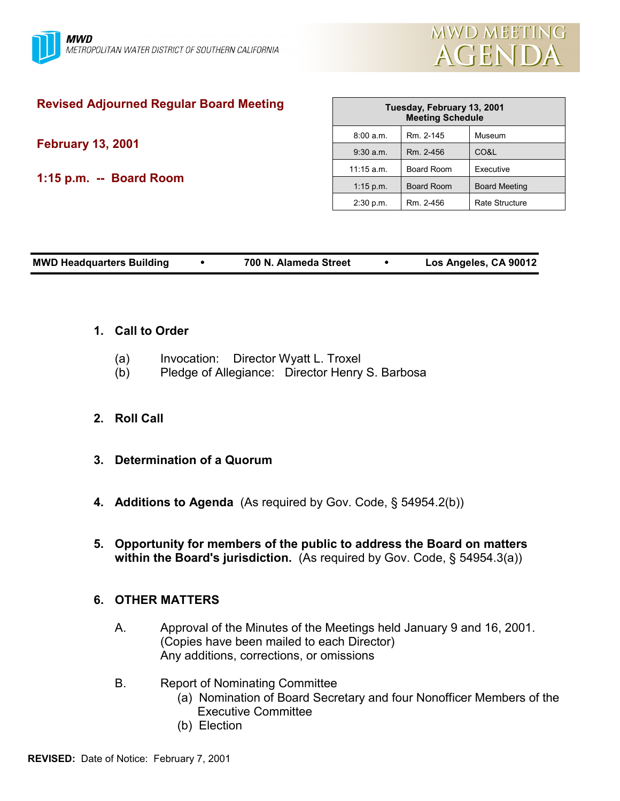

# **Revised Adjourned Regular Board Meeting**

**February 13, 2001**

**1:15 p.m. -- Board Room**

| Tuesday, February 13, 2001<br><b>Meeting Schedule</b> |                   |                      |  |  |  |
|-------------------------------------------------------|-------------------|----------------------|--|--|--|
| 8:00 a.m.                                             | Rm. 2-145         | Museum               |  |  |  |
| $9:30$ a.m.                                           | Rm. 2-456         | CO&L                 |  |  |  |
| $11:15$ a.m.                                          | Board Room        | Executive            |  |  |  |
| $1:15$ p.m.                                           | <b>Board Room</b> | <b>Board Meeting</b> |  |  |  |
| 2:30 p.m.                                             | Rm. 2-456         | Rate Structure       |  |  |  |

| <b>MWD Headquarters Building</b> | 700 N. Alameda Street | Los Angeles, CA 90012 |
|----------------------------------|-----------------------|-----------------------|
|                                  |                       |                       |

## **1. Call to Order**

- (a) Invocation: Director Wyatt L. Troxel
- (b) Pledge of Allegiance: Director Henry S. Barbosa

## **2. Roll Call**

- **3. Determination of a Quorum**
- **4. Additions to Agenda** (As required by Gov. Code, § 54954.2(b))
- **5. Opportunity for members of the public to address the Board on matters within the Board's jurisdiction.** (As required by Gov. Code, § 54954.3(a))

## **6. OTHER MATTERS**

- A. Approval of the Minutes of the Meetings held January 9 and 16, 2001. (Copies have been mailed to each Director) Any additions, corrections, or omissions
- B. Report of Nominating Committee
	- (a) Nomination of Board Secretary and four Nonofficer Members of the Executive Committee
	- (b) Election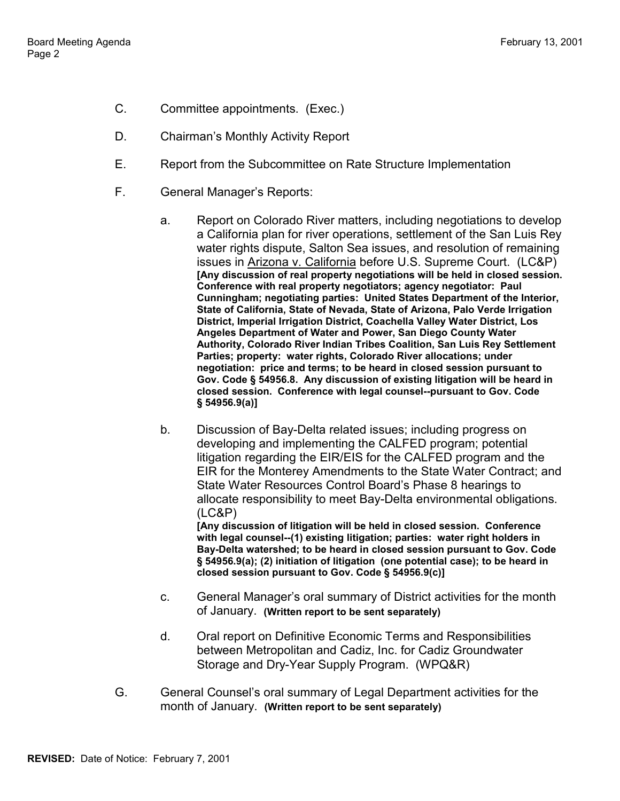- C. Committee appointments. (Exec.)
- D. Chairman's Monthly Activity Report
- E. Report from the Subcommittee on Rate Structure Implementation
- F. General Manager's Reports:
	- a. Report on Colorado River matters, including negotiations to develop a California plan for river operations, settlement of the San Luis Rey water rights dispute, Salton Sea issues, and resolution of remaining issues in Arizona v. California before U.S. Supreme Court. (LC&P) **[Any discussion of real property negotiations will be held in closed session. Conference with real property negotiators; agency negotiator: Paul Cunningham; negotiating parties: United States Department of the Interior, State of California, State of Nevada, State of Arizona, Palo Verde Irrigation District, Imperial Irrigation District, Coachella Valley Water District, Los Angeles Department of Water and Power, San Diego County Water Authority, Colorado River Indian Tribes Coalition, San Luis Rey Settlement Parties; property: water rights, Colorado River allocations; under negotiation: price and terms; to be heard in closed session pursuant to Gov. Code § 54956.8. Any discussion of existing litigation will be heard in closed session. Conference with legal counsel--pursuant to Gov. Code § 54956.9(a)]**
	- b. Discussion of Bay-Delta related issues; including progress on developing and implementing the CALFED program; potential litigation regarding the EIR/EIS for the CALFED program and the EIR for the Monterey Amendments to the State Water Contract; and State Water Resources Control Board's Phase 8 hearings to allocate responsibility to meet Bay-Delta environmental obligations. (LC&P) **[Any discussion of litigation will be held in closed session. Conference**

**with legal counsel--(1) existing litigation; parties: water right holders in Bay-Delta watershed; to be heard in closed session pursuant to Gov. Code § 54956.9(a); (2) initiation of litigation (one potential case); to be heard in closed session pursuant to Gov. Code § 54956.9(c)]**

- c. General Manager's oral summary of District activities for the month of January. **(Written report to be sent separately)**
- d. Oral report on Definitive Economic Terms and Responsibilities between Metropolitan and Cadiz, Inc. for Cadiz Groundwater Storage and Dry-Year Supply Program. (WPQ&R)
- G. General Counsel's oral summary of Legal Department activities for the month of January. **(Written report to be sent separately)**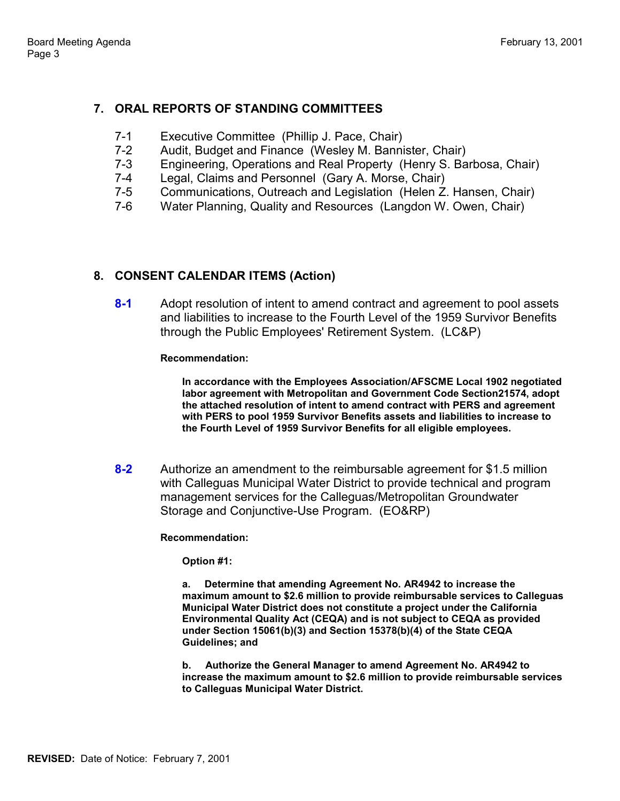## **7. ORAL REPORTS OF STANDING COMMITTEES**

- 7-1 Executive Committee (Phillip J. Pace, Chair)
- 7-2 Audit, Budget and Finance (Wesley M. Bannister, Chair)
- 7-3 Engineering, Operations and Real Property (Henry S. Barbosa, Chair)
- 7-4 Legal, Claims and Personnel (Gary A. Morse, Chair)
- 7-5 Communications, Outreach and Legislation (Helen Z. Hansen, Chair)
- 7-6 Water Planning, Quality and Resources (Langdon W. Owen, Chair)

## **8. CONSENT CALENDAR ITEMS (Action)**

**8-1** Adopt resolution of intent to amend contract and agreement to pool assets and liabilities to increase to the Fourth Level of the 1959 Survivor Benefits through the Public Employees' Retirement System. (LC&P)

**Recommendation:**

**In accordance with the Employees Association/AFSCME Local 1902 negotiated labor agreement with Metropolitan and Government Code Section21574, adopt the attached resolution of intent to amend contract with PERS and agreement with PERS to pool 1959 Survivor Benefits assets and liabilities to increase to the Fourth Level of 1959 Survivor Benefits for all eligible employees.**

**8-2** Authorize an amendment to the reimbursable agreement for \$1.5 million with Calleguas Municipal Water District to provide technical and program management services for the Calleguas/Metropolitan Groundwater Storage and Conjunctive-Use Program. (EO&RP)

**Recommendation:**

**Option #1:**

**a. Determine that amending Agreement No. AR4942 to increase the maximum amount to \$2.6 million to provide reimbursable services to Calleguas Municipal Water District does not constitute a project under the California Environmental Quality Act (CEQA) and is not subject to CEQA as provided under Section 15061(b)(3) and Section 15378(b)(4) of the State CEQA Guidelines; and**

**b. Authorize the General Manager to amend Agreement No. AR4942 to increase the maximum amount to \$2.6 million to provide reimbursable services to Calleguas Municipal Water District.**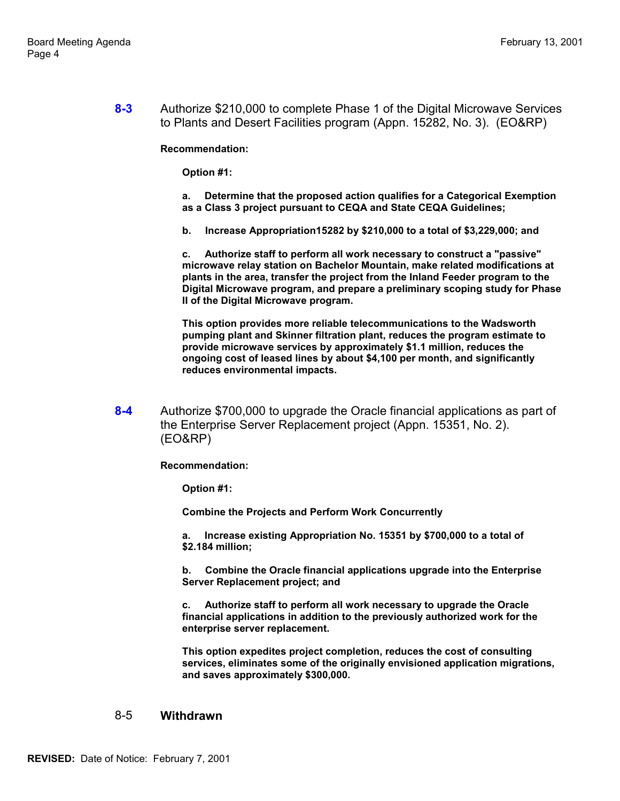**8-3** Authorize \$210,000 to complete Phase 1 of the Digital Microwave Services to Plants and Desert Facilities program (Appn. 15282, No. 3). (EO&RP)

**Recommendation:**

**Option #1:**

**a. Determine that the proposed action qualifies for a Categorical Exemption as a Class 3 project pursuant to CEQA and State CEQA Guidelines;**

**b. Increase Appropriation15282 by \$210,000 to a total of \$3,229,000; and**

**c. Authorize staff to perform all work necessary to construct a "passive" microwave relay station on Bachelor Mountain, make related modifications at plants in the area, transfer the project from the Inland Feeder program to the Digital Microwave program, and prepare a preliminary scoping study for Phase II of the Digital Microwave program.**

**This option provides more reliable telecommunications to the Wadsworth pumping plant and Skinner filtration plant, reduces the program estimate to provide microwave services by approximately \$1.1 million, reduces the ongoing cost of leased lines by about \$4,100 per month, and significantly reduces environmental impacts.**

**8-4** Authorize \$700,000 to upgrade the Oracle financial applications as part of the Enterprise Server Replacement project (Appn. 15351, No. 2). (EO&RP)

**Recommendation:**

**Option #1:**

**Combine the Projects and Perform Work Concurrently**

**a. Increase existing Appropriation No. 15351 by \$700,000 to a total of \$2.184 million;**

**b. Combine the Oracle financial applications upgrade into the Enterprise Server Replacement project; and**

**c. Authorize staff to perform all work necessary to upgrade the Oracle financial applications in addition to the previously authorized work for the enterprise server replacement.**

**This option expedites project completion, reduces the cost of consulting services, eliminates some of the originally envisioned application migrations, and saves approximately \$300,000.**

#### 8-5 **Withdrawn**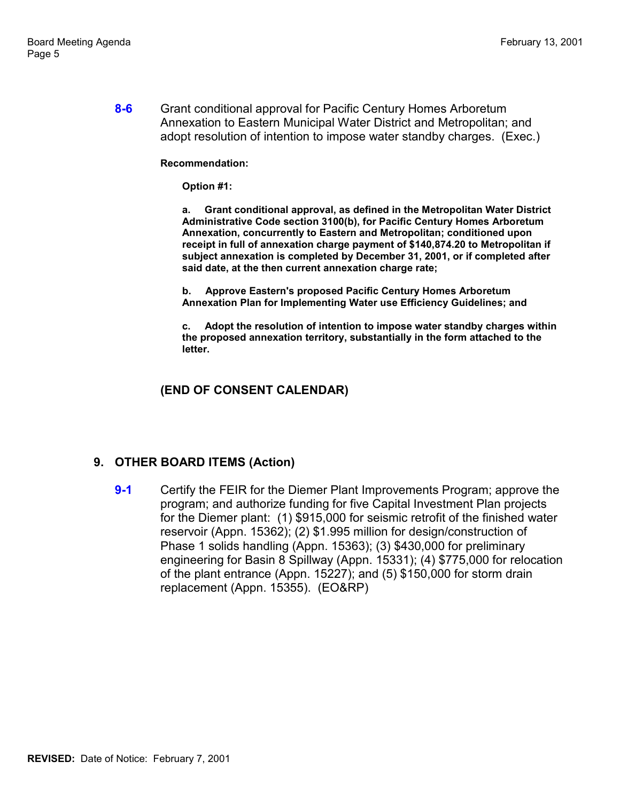**8-6** Grant conditional approval for Pacific Century Homes Arboretum Annexation to Eastern Municipal Water District and Metropolitan; and adopt resolution of intention to impose water standby charges. (Exec.)

### **Recommendation:**

**Option #1:**

**a. Grant conditional approval, as defined in the Metropolitan Water District Administrative Code section 3100(b), for Pacific Century Homes Arboretum Annexation, concurrently to Eastern and Metropolitan; conditioned upon receipt in full of annexation charge payment of \$140,874.20 to Metropolitan if subject annexation is completed by December 31, 2001, or if completed after said date, at the then current annexation charge rate;**

**b. Approve Eastern's proposed Pacific Century Homes Arboretum Annexation Plan for Implementing Water use Efficiency Guidelines; and**

**c. Adopt the resolution of intention to impose water standby charges within the proposed annexation territory, substantially in the form attached to the letter.**

## **(END OF CONSENT CALENDAR)**

## **9. OTHER BOARD ITEMS (Action)**

**9-1** Certify the FEIR for the Diemer Plant Improvements Program; approve the program; and authorize funding for five Capital Investment Plan projects for the Diemer plant: (1) \$915,000 for seismic retrofit of the finished water reservoir (Appn. 15362); (2) \$1.995 million for design/construction of Phase 1 solids handling (Appn. 15363); (3) \$430,000 for preliminary engineering for Basin 8 Spillway (Appn. 15331); (4) \$775,000 for relocation of the plant entrance (Appn. 15227); and (5) \$150,000 for storm drain replacement (Appn. 15355). (EO&RP)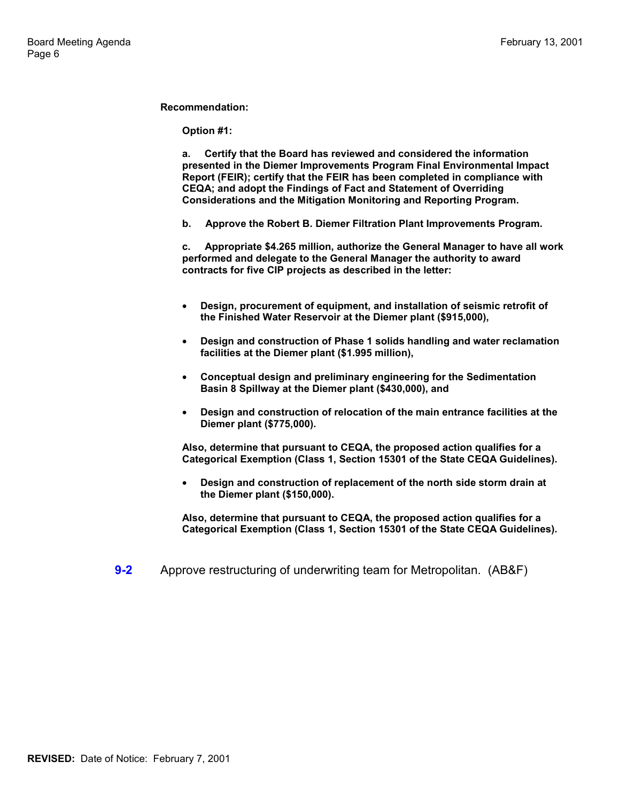**Option #1:**

**a. Certify that the Board has reviewed and considered the information presented in the Diemer Improvements Program Final Environmental Impact Report (FEIR); certify that the FEIR has been completed in compliance with CEQA; and adopt the Findings of Fact and Statement of Overriding Considerations and the Mitigation Monitoring and Reporting Program.**

**b. Approve the Robert B. Diemer Filtration Plant Improvements Program.**

**c. Appropriate \$4.265 million, authorize the General Manager to have all work performed and delegate to the General Manager the authority to award contracts for five CIP projects as described in the letter:**

- **Design, procurement of equipment, and installation of seismic retrofit of the Finished Water Reservoir at the Diemer plant (\$915,000),**
- **Design and construction of Phase 1 solids handling and water reclamation facilities at the Diemer plant (\$1.995 million),**
- **Conceptual design and preliminary engineering for the Sedimentation Basin 8 Spillway at the Diemer plant (\$430,000), and**
- **Design and construction of relocation of the main entrance facilities at the Diemer plant (\$775,000).**

**Also, determine that pursuant to CEQA, the proposed action qualifies for a Categorical Exemption (Class 1, Section 15301 of the State CEQA Guidelines).**

• **Design and construction of replacement of the north side storm drain at the Diemer plant (\$150,000).**

**Also, determine that pursuant to CEQA, the proposed action qualifies for a Categorical Exemption (Class 1, Section 15301 of the State CEQA Guidelines).**

**9-2** Approve restructuring of underwriting team for Metropolitan. (AB&F)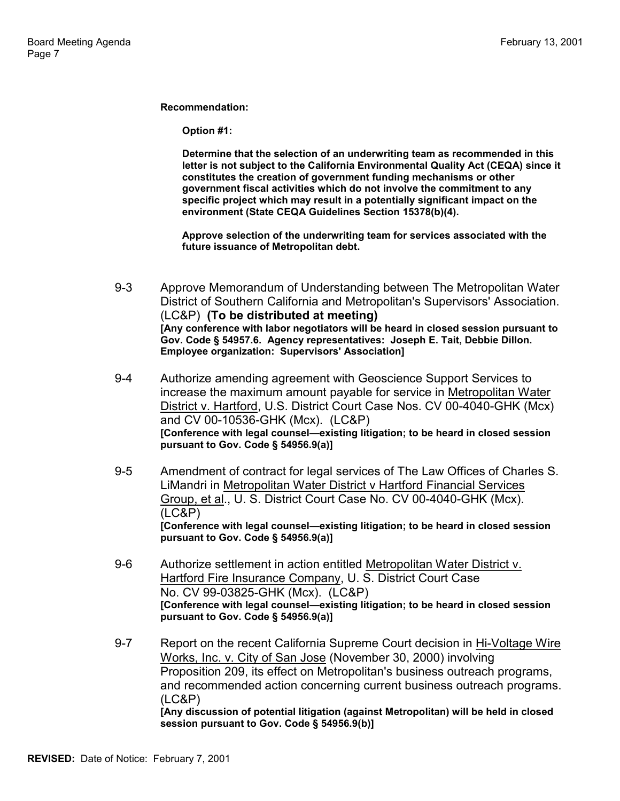**Option #1:**

**Determine that the selection of an underwriting team as recommended in this letter is not subject to the California Environmental Quality Act (CEQA) since it constitutes the creation of government funding mechanisms or other government fiscal activities which do not involve the commitment to any specific project which may result in a potentially significant impact on the environment (State CEQA Guidelines Section 15378(b)(4).**

**Approve selection of the underwriting team for services associated with the future issuance of Metropolitan debt.**

- 9-3 Approve Memorandum of Understanding between The Metropolitan Water District of Southern California and Metropolitan's Supervisors' Association. (LC&P) **(To be distributed at meeting) [Any conference with labor negotiators will be heard in closed session pursuant to Gov. Code § 54957.6. Agency representatives: Joseph E. Tait, Debbie Dillon. Employee organization: Supervisors' Association]**
- 9-4 Authorize amending agreement with Geoscience Support Services to increase the maximum amount payable for service in Metropolitan Water District v. Hartford, U.S. District Court Case Nos. CV 00-4040-GHK (Mcx) and CV 00-10536-GHK (Mcx). (LC&P) **[Conference with legal counsel—existing litigation; to be heard in closed session pursuant to Gov. Code § 54956.9(a)]**
- 9-5 Amendment of contract for legal services of The Law Offices of Charles S. LiMandri in Metropolitan Water District v Hartford Financial Services Group, et al., U. S. District Court Case No. CV 00-4040-GHK (Mcx). (LC&P) **[Conference with legal counsel—existing litigation; to be heard in closed session pursuant to Gov. Code § 54956.9(a)]**
- 9-6 Authorize settlement in action entitled Metropolitan Water District v. Hartford Fire Insurance Company, U. S. District Court Case No. CV 99-03825-GHK (Mcx). (LC&P) **[Conference with legal counsel—existing litigation; to be heard in closed session pursuant to Gov. Code § 54956.9(a)]**
- 9-7 Report on the recent California Supreme Court decision in Hi-Voltage Wire Works, Inc. v. City of San Jose (November 30, 2000) involving Proposition 209, its effect on Metropolitan's business outreach programs, and recommended action concerning current business outreach programs. (LC&P) **[Any discussion of potential litigation (against Metropolitan) will be held in closed session pursuant to Gov. Code § 54956.9(b)]**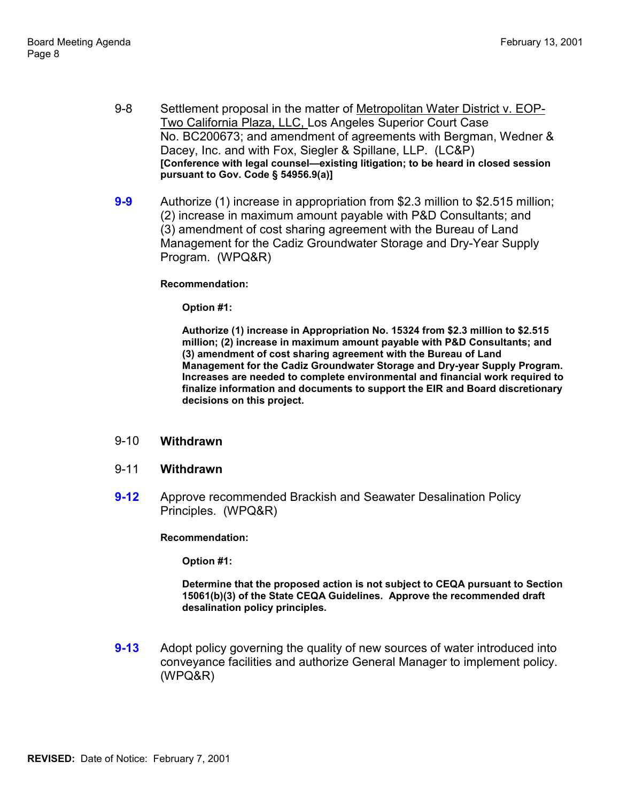- 9-8 Settlement proposal in the matter of Metropolitan Water District v. EOP-Two California Plaza, LLC, Los Angeles Superior Court Case No. BC200673; and amendment of agreements with Bergman, Wedner & Dacey, Inc. and with Fox, Siegler & Spillane, LLP. (LC&P) **[Conference with legal counsel—existing litigation; to be heard in closed session pursuant to Gov. Code § 54956.9(a)]**
- **9-9** Authorize (1) increase in appropriation from \$2.3 million to \$2.515 million; (2) increase in maximum amount payable with P&D Consultants; and (3) amendment of cost sharing agreement with the Bureau of Land Management for the Cadiz Groundwater Storage and Dry-Year Supply Program. (WPQ&R)

**Option #1:**

**Authorize (1) increase in Appropriation No. 15324 from \$2.3 million to \$2.515 million; (2) increase in maximum amount payable with P&D Consultants; and (3) amendment of cost sharing agreement with the Bureau of Land Management for the Cadiz Groundwater Storage and Dry-year Supply Program. Increases are needed to complete environmental and financial work required to finalize information and documents to support the EIR and Board discretionary decisions on this project.**

### 9-10 **Withdrawn**

#### 9-11 **Withdrawn**

**9-12** Approve recommended Brackish and Seawater Desalination Policy Principles. (WPQ&R)

**Recommendation:**

**Option #1:**

**Determine that the proposed action is not subject to CEQA pursuant to Section 15061(b)(3) of the State CEQA Guidelines. Approve the recommended draft desalination policy principles.**

**9-13** Adopt policy governing the quality of new sources of water introduced into conveyance facilities and authorize General Manager to implement policy. (WPQ&R)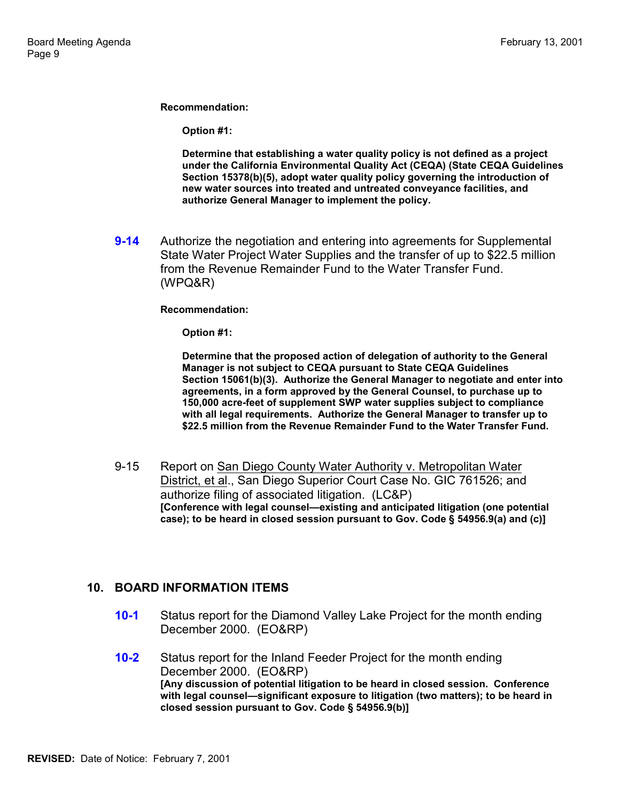**Option #1:**

**Determine that establishing a water quality policy is not defined as a project under the California Environmental Quality Act (CEQA) (State CEQA Guidelines Section 15378(b)(5), adopt water quality policy governing the introduction of new water sources into treated and untreated conveyance facilities, and authorize General Manager to implement the policy.**

**9-14** Authorize the negotiation and entering into agreements for Supplemental State Water Project Water Supplies and the transfer of up to \$22.5 million from the Revenue Remainder Fund to the Water Transfer Fund. (WPQ&R)

#### **Recommendation:**

**Option #1:**

**Determine that the proposed action of delegation of authority to the General Manager is not subject to CEQA pursuant to State CEQA Guidelines Section 15061(b)(3). Authorize the General Manager to negotiate and enter into agreements, in a form approved by the General Counsel, to purchase up to 150,000 acre-feet of supplement SWP water supplies subject to compliance with all legal requirements. Authorize the General Manager to transfer up to \$22.5 million from the Revenue Remainder Fund to the Water Transfer Fund.**

9-15 Report on San Diego County Water Authority v. Metropolitan Water District, et al., San Diego Superior Court Case No. GIC 761526; and authorize filing of associated litigation. (LC&P) **[Conference with legal counsel—existing and anticipated litigation (one potential case); to be heard in closed session pursuant to Gov. Code § 54956.9(a) and (c)]**

### **10. BOARD INFORMATION ITEMS**

- **10-1** Status report for the Diamond Valley Lake Project for the month ending December 2000. (EO&RP)
- **10-2** Status report for the Inland Feeder Project for the month ending December 2000. (EO&RP) **[Any discussion of potential litigation to be heard in closed session. Conference with legal counsel—significant exposure to litigation (two matters); to be heard in closed session pursuant to Gov. Code § 54956.9(b)]**